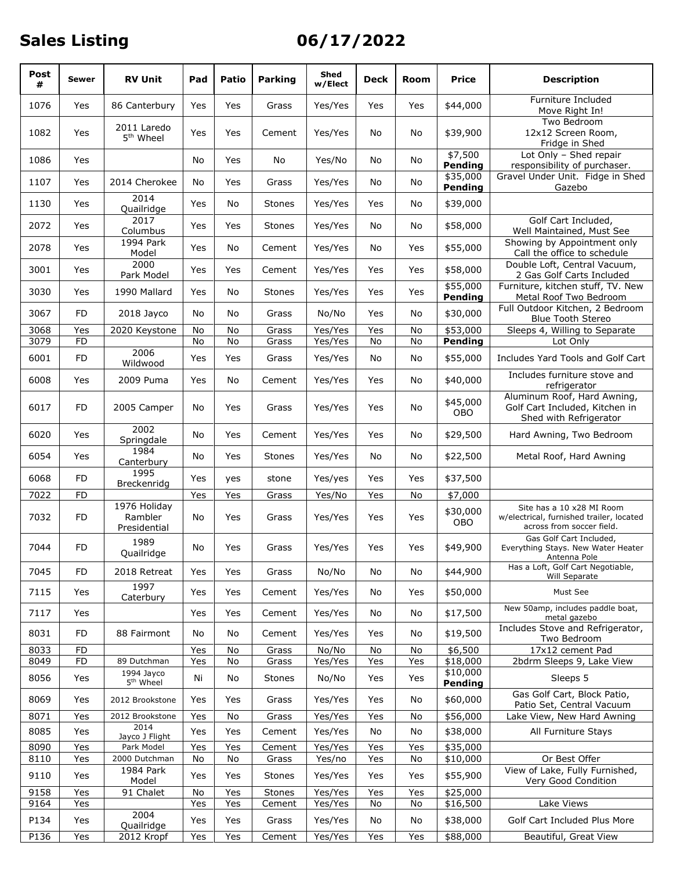## **Sales Listing 06/17/2022**

| Post<br>#    | Sewer      | <b>RV Unit</b>                          | Pad        | Patio     | <b>Parking</b>  | Shed<br>w/Elect    | <b>Deck</b> | Room      | <b>Price</b>           | <b>Description</b>                                                                                 |
|--------------|------------|-----------------------------------------|------------|-----------|-----------------|--------------------|-------------|-----------|------------------------|----------------------------------------------------------------------------------------------------|
| 1076         | Yes        | 86 Canterbury                           | Yes        | Yes       | Grass           | Yes/Yes            | Yes         | Yes       | \$44,000               | Furniture Included<br>Move Right In!                                                               |
| 1082         | Yes        | 2011 Laredo<br>5 <sup>th</sup> Wheel    | Yes        | Yes       | Cement          | Yes/Yes            | No          | No        | \$39,900               | Two Bedroom<br>12x12 Screen Room,<br>Fridge in Shed                                                |
| 1086         | Yes        |                                         | No         | Yes       | No              | Yes/No             | No          | No        | \$7,500<br>Pending     | Lot Only - Shed repair<br>responsibility of purchaser.                                             |
| 1107         | Yes        | 2014 Cherokee                           | No         | Yes       | Grass           | Yes/Yes            | No          | No        | \$35,000<br>Pending    | Gravel Under Unit. Fidge in Shed<br>Gazebo                                                         |
| 1130         | Yes        | 2014<br>Quailridge                      | Yes        | No        | Stones          | Yes/Yes            | Yes         | No        | \$39,000               |                                                                                                    |
| 2072         | Yes        | 2017<br>Columbus                        | Yes        | Yes       | Stones          | Yes/Yes            | No          | No        | \$58,000               | Golf Cart Included,<br>Well Maintained, Must See                                                   |
| 2078         | Yes        | 1994 Park<br>Model                      | Yes        | No        | Cement          | Yes/Yes            | No          | Yes       | \$55,000               | Showing by Appointment only<br>Call the office to schedule                                         |
| 3001         | Yes        | 2000<br>Park Model                      | Yes        | Yes       | Cement          | Yes/Yes            | Yes         | Yes       | \$58,000               | Double Loft, Central Vacuum,<br>2 Gas Golf Carts Included                                          |
| 3030         | Yes        | 1990 Mallard                            | Yes        | No        | <b>Stones</b>   | Yes/Yes            | Yes         | Yes       | \$55,000<br>Pending    | Furniture, kitchen stuff, TV. New<br>Metal Roof Two Bedroom                                        |
| 3067         | FD         | 2018 Jayco                              | No         | No        | Grass           | No/No              | Yes         | No        | \$30,000               | Full Outdoor Kitchen, 2 Bedroom<br>Blue Tooth Stereo                                               |
| 3068<br>3079 | Yes<br>FD  | 2020 Keystone                           | No<br>No   | No<br>No  | Grass<br>Grass  | Yes/Yes<br>Yes/Yes | Yes<br>No   | No<br>No  | \$53,000<br>Pending    | Sleeps 4, Willing to Separate<br>Lot Only                                                          |
| 6001         | <b>FD</b>  | 2006                                    |            |           |                 |                    |             |           | \$55,000               | Includes Yard Tools and Golf Cart                                                                  |
| 6008         | Yes        | Wildwood<br>2009 Puma                   | Yes<br>Yes | Yes<br>No | Grass<br>Cement | Yes/Yes<br>Yes/Yes | No<br>Yes   | No<br>No  | \$40,000               | Includes furniture stove and                                                                       |
|              |            |                                         |            |           |                 |                    |             |           |                        | refrigerator<br>Aluminum Roof, Hard Awning,                                                        |
| 6017         | FD         | 2005 Camper                             | No         | Yes       | Grass           | Yes/Yes            | Yes         | No        | \$45,000<br><b>OBO</b> | Golf Cart Included, Kitchen in<br>Shed with Refrigerator                                           |
| 6020         | Yes        | $\frac{1}{2002}$<br>Springdale          | No         | Yes       | Cement          | Yes/Yes            | Yes         | No        | \$29,500               | Hard Awning, Two Bedroom                                                                           |
| 6054         | Yes        | 1984<br>Canterbury                      | No         | Yes       | Stones          | Yes/Yes            | No          | No        | \$22,500               | Metal Roof, Hard Awning                                                                            |
| 6068         | <b>FD</b>  | 1995<br>Breckenridg                     | Yes        | yes       | stone           | Yes/yes            | Yes         | Yes       | \$37,500               |                                                                                                    |
| 7022         | <b>FD</b>  |                                         | Yes        | Yes       | Grass           | Yes/No             | Yes         | No        | \$7,000                |                                                                                                    |
| 7032         | <b>FD</b>  | 1976 Holiday<br>Rambler<br>Presidential | No         | Yes       | Grass           | Yes/Yes            | Yes         | Yes       | \$30,000<br>OBO        | Site has a 10 x28 MI Room<br>w/electrical, furnished trailer, located<br>across from soccer field. |
| 7044         | <b>FD</b>  | 1989<br>Quailridge                      | No         | Yes       | Grass           | Yes/Yes            | Yes         | Yes       | \$49,900               | Gas Golf Cart Included,<br>Everything Stays. New Water Heater<br>Antenna Pole                      |
| 7045         | FD         | 2018 Retreat                            | Yes        | Yes       | Grass           | No/No              | No          | No        | \$44,900               | Has a Loft, Golf Cart Negotiable,<br>Will Separate                                                 |
| 7115         | Yes        | 1997<br>Caterbury                       | Yes        | Yes       | Cement          | Yes/Yes            | No          | Yes       | \$50,000               | Must See                                                                                           |
| 7117         | Yes        |                                         | Yes        | Yes       | Cement          | Yes/Yes            | No          | No        | \$17,500               | New 50amp, includes paddle boat,<br>metal gazebo                                                   |
| 8031         | FD         | 88 Fairmont                             | No         | No        | Cement          | Yes/Yes            | Yes         | No        | \$19,500               | Includes Stove and Refrigerator,<br>Two Bedroom                                                    |
| 8033         | <b>FD</b>  |                                         | Yes        | No        | Grass           | No/No              | No          | No        | \$6,500                | 17x12 cement Pad                                                                                   |
| 8049         | <b>FD</b>  | 89 Dutchman<br>1994 Jayco               | Yes        | No        | Grass           | Yes/Yes            | Yes         | Yes       | \$18,000<br>\$10,000   | 2bdrm Sleeps 9, Lake View                                                                          |
| 8056         | Yes        | 5 <sup>th</sup> Wheel                   | Ni         | No        | <b>Stones</b>   | No/No              | Yes         | Yes       | <b>Pending</b>         | Sleeps 5<br>Gas Golf Cart, Block Patio,                                                            |
| 8069         | Yes        | 2012 Brookstone                         | Yes        | Yes       | Grass           | Yes/Yes            | Yes         | No        | \$60,000               | Patio Set, Central Vacuum                                                                          |
| 8071         | Yes        | 2012 Brookstone<br>2014                 | Yes        | No        | Grass           | Yes/Yes            | Yes         | No        | \$56,000               | Lake View, New Hard Awning                                                                         |
| 8085         | Yes        | Jayco J Flight                          | Yes        | Yes       | Cement          | Yes/Yes            | No          | No        | \$38,000               | All Furniture Stays                                                                                |
| 8090<br>8110 | Yes<br>Yes | Park Model<br>2000 Dutchman             | Yes<br>No  | Yes<br>No | Cement<br>Grass | Yes/Yes            | Yes<br>Yes  | Yes<br>No | \$35,000<br>\$10,000   | Or Best Offer                                                                                      |
| 9110         | Yes        | 1984 Park<br>Model                      | Yes        | Yes       | Stones          | Yes/no<br>Yes/Yes  | Yes         | Yes       | \$55,900               | View of Lake, Fully Furnished,<br>Very Good Condition                                              |
| 9158         | Yes        | 91 Chalet                               | No         | Yes       | Stones          | Yes/Yes            | Yes         | Yes       | \$25,000               |                                                                                                    |
| 9164         | Yes        |                                         | Yes        | Yes       | Cement          | Yes/Yes            | No          | No        | \$16,500               | Lake Views                                                                                         |
| P134         | Yes        | 2004<br>Quailridge                      | Yes        | Yes       | Grass           | Yes/Yes            | No          | No        | \$38,000               | Golf Cart Included Plus More                                                                       |
| P136         | Yes        | 2012 Kropf                              | Yes        | Yes       | Cement          | Yes/Yes            | Yes         | Yes       | \$88,000               | Beautiful, Great View                                                                              |